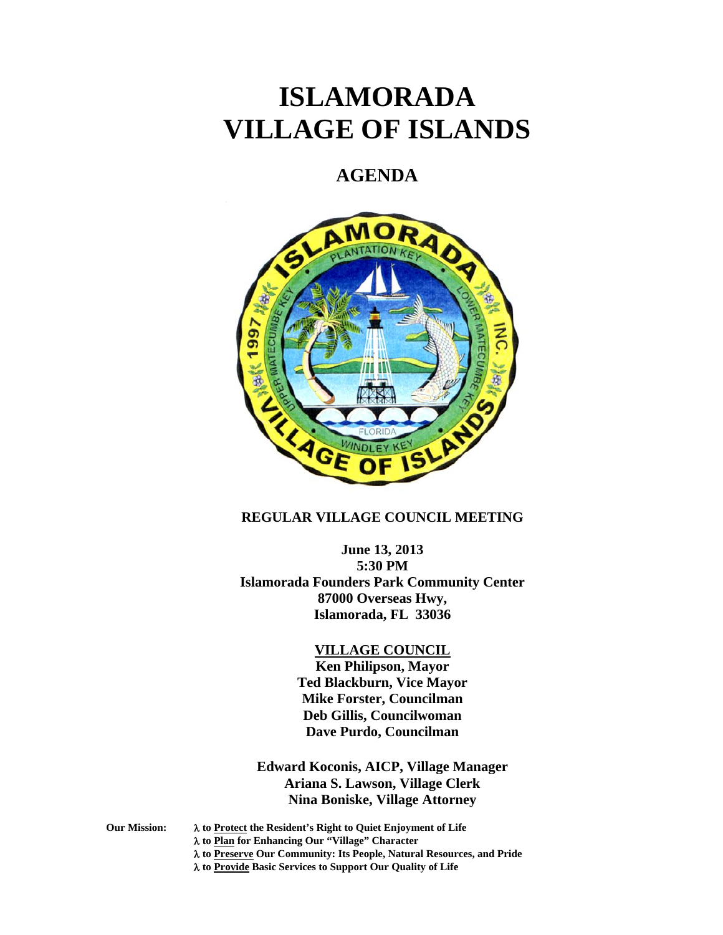# **ISLAMORADA VILLAGE OF ISLANDS**

# **AGENDA**



# **REGULAR VILLAGE COUNCIL MEETING**

**June 13, 2013 5:30 PM Islamorada Founders Park Community Center 87000 Overseas Hwy, Islamorada, FL 33036** 

#### **VILLAGE COUNCIL**

**Ken Philipson, Mayor Ted Blackburn, Vice Mayor Mike Forster, Councilman Deb Gillis, Councilwoman Dave Purdo, Councilman** 

**Edward Koconis, AICP, Village Manager Ariana S. Lawson, Village Clerk Nina Boniske, Village Attorney** 

**Our Mission: to Protect the Resident's Right to Quiet Enjoyment of Life** 

 **to Plan for Enhancing Our "Village" Character** 

 **to Preserve Our Community: Its People, Natural Resources, and Pride** 

 **to Provide Basic Services to Support Our Quality of Life**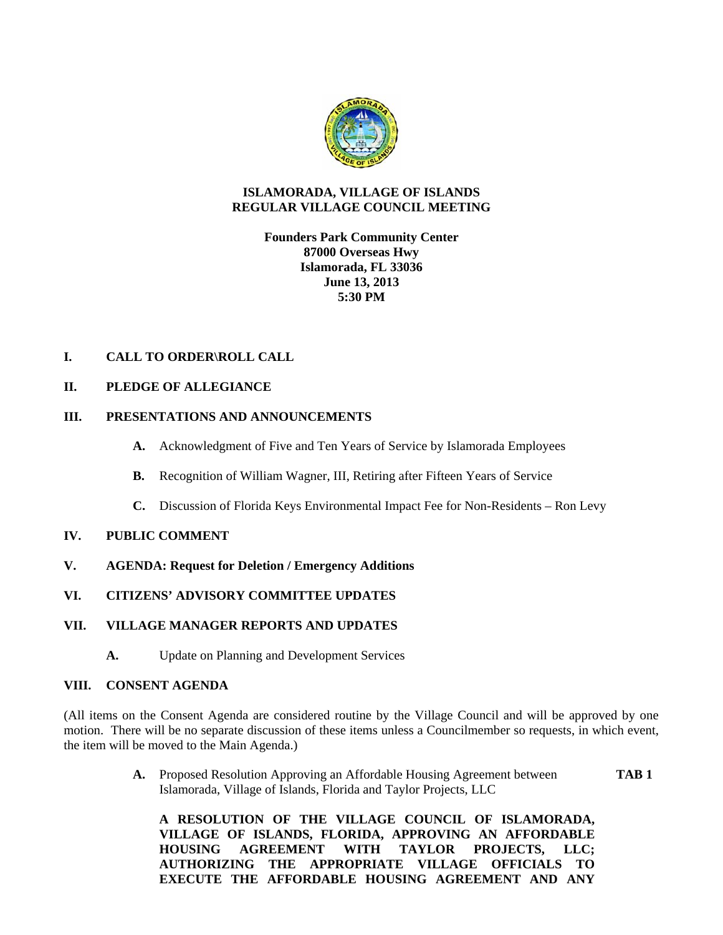

# **ISLAMORADA, VILLAGE OF ISLANDS REGULAR VILLAGE COUNCIL MEETING**

# **Founders Park Community Center 87000 Overseas Hwy Islamorada, FL 33036 June 13, 2013 5:30 PM**

# **I. CALL TO ORDER\ROLL CALL**

# **II. PLEDGE OF ALLEGIANCE**

# **III. PRESENTATIONS AND ANNOUNCEMENTS**

- **A.** Acknowledgment of Five and Ten Years of Service by Islamorada Employees
- **B.** Recognition of William Wagner, III, Retiring after Fifteen Years of Service
- **C.** Discussion of Florida Keys Environmental Impact Fee for Non-Residents Ron Levy

#### **IV. PUBLIC COMMENT**

- **V. AGENDA: Request for Deletion / Emergency Additions**
- **VI. CITIZENS' ADVISORY COMMITTEE UPDATES**

#### **VII. VILLAGE MANAGER REPORTS AND UPDATES**

**A.** Update on Planning and Development Services

#### **VIII. CONSENT AGENDA**

(All items on the Consent Agenda are considered routine by the Village Council and will be approved by one motion. There will be no separate discussion of these items unless a Councilmember so requests, in which event, the item will be moved to the Main Agenda.)

> **A.** Proposed Resolution Approving an Affordable Housing Agreement between **TAB 1** Islamorada, Village of Islands, Florida and Taylor Projects, LLC

**A RESOLUTION OF THE VILLAGE COUNCIL OF ISLAMORADA, VILLAGE OF ISLANDS, FLORIDA, APPROVING AN AFFORDABLE HOUSING AGREEMENT WITH TAYLOR PROJECTS, LLC; AUTHORIZING THE APPROPRIATE VILLAGE OFFICIALS TO EXECUTE THE AFFORDABLE HOUSING AGREEMENT AND ANY**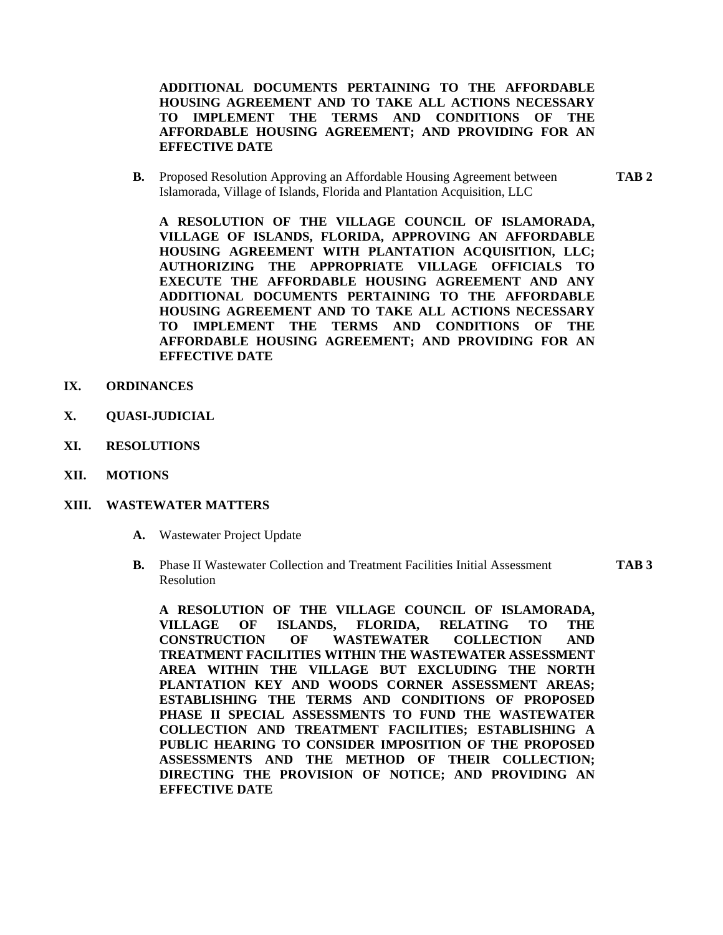**ADDITIONAL DOCUMENTS PERTAINING TO THE AFFORDABLE HOUSING AGREEMENT AND TO TAKE ALL ACTIONS NECESSARY TO IMPLEMENT THE TERMS AND CONDITIONS OF THE AFFORDABLE HOUSING AGREEMENT; AND PROVIDING FOR AN EFFECTIVE DATE** 

**B.** Proposed Resolution Approving an Affordable Housing Agreement between **TAB 2** Islamorada, Village of Islands, Florida and Plantation Acquisition, LLC

**A RESOLUTION OF THE VILLAGE COUNCIL OF ISLAMORADA, VILLAGE OF ISLANDS, FLORIDA, APPROVING AN AFFORDABLE HOUSING AGREEMENT WITH PLANTATION ACQUISITION, LLC; AUTHORIZING THE APPROPRIATE VILLAGE OFFICIALS TO EXECUTE THE AFFORDABLE HOUSING AGREEMENT AND ANY ADDITIONAL DOCUMENTS PERTAINING TO THE AFFORDABLE HOUSING AGREEMENT AND TO TAKE ALL ACTIONS NECESSARY TO IMPLEMENT THE TERMS AND CONDITIONS OF THE AFFORDABLE HOUSING AGREEMENT; AND PROVIDING FOR AN EFFECTIVE DATE** 

- **IX. ORDINANCES**
- **X. QUASI-JUDICIAL**
- **XI. RESOLUTIONS**
- **XII. MOTIONS**

#### **XIII. WASTEWATER MATTERS**

- **A.** Wastewater Project Update
- **B.** Phase II Wastewater Collection and Treatment Facilities Initial Assessment **TAB 3**  Resolution

**A RESOLUTION OF THE VILLAGE COUNCIL OF ISLAMORADA, VILLAGE OF ISLANDS, FLORIDA, RELATING TO THE CONSTRUCTION OF WASTEWATER COLLECTION AND TREATMENT FACILITIES WITHIN THE WASTEWATER ASSESSMENT AREA WITHIN THE VILLAGE BUT EXCLUDING THE NORTH PLANTATION KEY AND WOODS CORNER ASSESSMENT AREAS; ESTABLISHING THE TERMS AND CONDITIONS OF PROPOSED PHASE II SPECIAL ASSESSMENTS TO FUND THE WASTEWATER COLLECTION AND TREATMENT FACILITIES; ESTABLISHING A PUBLIC HEARING TO CONSIDER IMPOSITION OF THE PROPOSED ASSESSMENTS AND THE METHOD OF THEIR COLLECTION; DIRECTING THE PROVISION OF NOTICE; AND PROVIDING AN EFFECTIVE DATE**